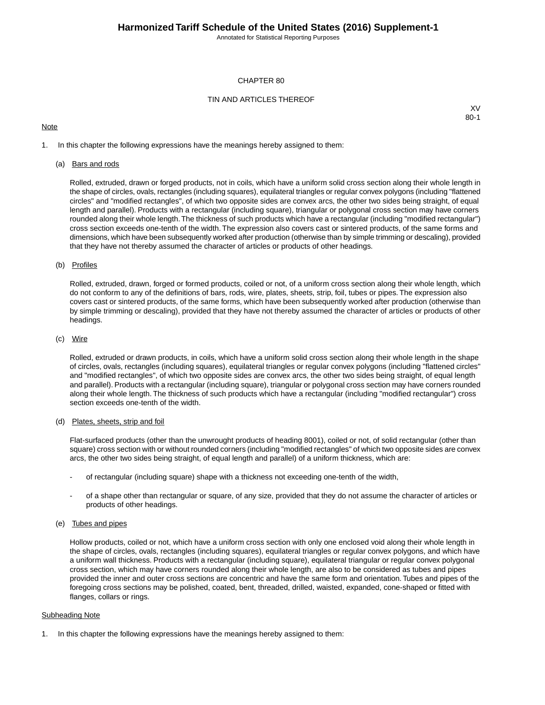Annotated for Statistical Reporting Purposes

## CHAPTER 80

# TIN AND ARTICLES THEREOF

# **Note**

XV 80-1

1. In this chapter the following expressions have the meanings hereby assigned to them:

## (a) Bars and rods

Rolled, extruded, drawn or forged products, not in coils, which have a uniform solid cross section along their whole length in the shape of circles, ovals, rectangles (including squares), equilateral triangles or regular convex polygons (including "flattened circles" and "modified rectangles", of which two opposite sides are convex arcs, the other two sides being straight, of equal length and parallel). Products with a rectangular (including square), triangular or polygonal cross section may have corners rounded along their whole length.The thickness of such products which have a rectangular (including "modified rectangular") cross section exceeds one-tenth of the width. The expression also covers cast or sintered products, of the same forms and dimensions, which have been subsequently worked after production (otherwise than by simple trimming or descaling), provided that they have not thereby assumed the character of articles or products of other headings.

## (b) Profiles

Rolled, extruded, drawn, forged or formed products, coiled or not, of a uniform cross section along their whole length, which do not conform to any of the definitions of bars, rods, wire, plates, sheets, strip, foil, tubes or pipes. The expression also covers cast or sintered products, of the same forms, which have been subsequently worked after production (otherwise than by simple trimming or descaling), provided that they have not thereby assumed the character of articles or products of other headings.

#### (c) Wire

Rolled, extruded or drawn products, in coils, which have a uniform solid cross section along their whole length in the shape of circles, ovals, rectangles (including squares), equilateral triangles or regular convex polygons (including "flattened circles" and "modified rectangles", of which two opposite sides are convex arcs, the other two sides being straight, of equal length and parallel). Products with a rectangular (including square), triangular or polygonal cross section may have corners rounded along their whole length. The thickness of such products which have a rectangular (including "modified rectangular") cross section exceeds one-tenth of the width.

# (d) Plates, sheets, strip and foil

Flat-surfaced products (other than the unwrought products of heading 8001), coiled or not, of solid rectangular (other than square) cross section with or without rounded corners (including "modified rectangles" of which two opposite sides are convex arcs, the other two sides being straight, of equal length and parallel) of a uniform thickness, which are:

- of rectangular (including square) shape with a thickness not exceeding one-tenth of the width,
- of a shape other than rectangular or square, of any size, provided that they do not assume the character of articles or products of other headings.

## (e) Tubes and pipes

Hollow products, coiled or not, which have a uniform cross section with only one enclosed void along their whole length in the shape of circles, ovals, rectangles (including squares), equilateral triangles or regular convex polygons, and which have a uniform wall thickness. Products with a rectangular (including square), equilateral triangular or regular convex polygonal cross section, which may have corners rounded along their whole length, are also to be considered as tubes and pipes provided the inner and outer cross sections are concentric and have the same form and orientation. Tubes and pipes of the foregoing cross sections may be polished, coated, bent, threaded, drilled, waisted, expanded, cone-shaped or fitted with flanges, collars or rings.

#### Subheading Note

1. In this chapter the following expressions have the meanings hereby assigned to them: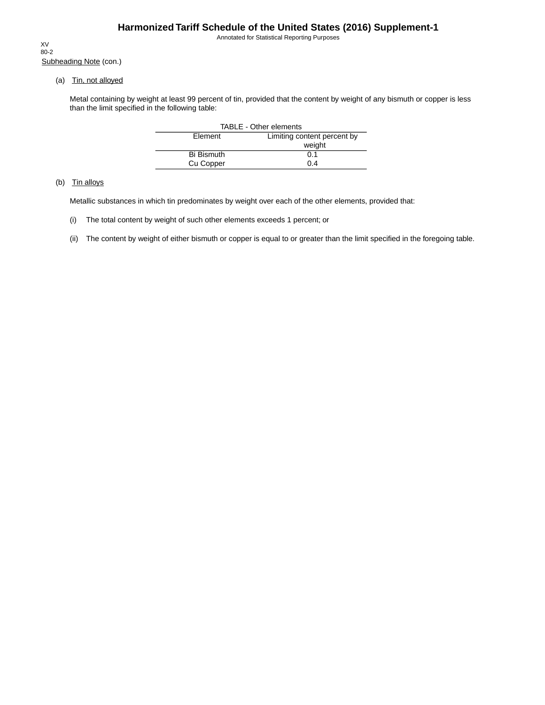Annotated for Statistical Reporting Purposes

Subheading Note (con.) XV 80-2

(a) Tin, not alloyed

Metal containing by weight at least 99 percent of tin, provided that the content by weight of any bismuth or copper is less than the limit specified in the following table:

| <b>TABLE - Other elements</b> |                             |  |  |  |  |
|-------------------------------|-----------------------------|--|--|--|--|
| Element                       | Limiting content percent by |  |  |  |  |
|                               | weight                      |  |  |  |  |
| <b>Bi Bismuth</b>             | 0.1                         |  |  |  |  |
| Cu Copper                     | 0.4                         |  |  |  |  |

# (b) Tin alloys

Metallic substances in which tin predominates by weight over each of the other elements, provided that:

- (i) The total content by weight of such other elements exceeds 1 percent; or
- (ii) The content by weight of either bismuth or copper is equal to or greater than the limit specified in the foregoing table.